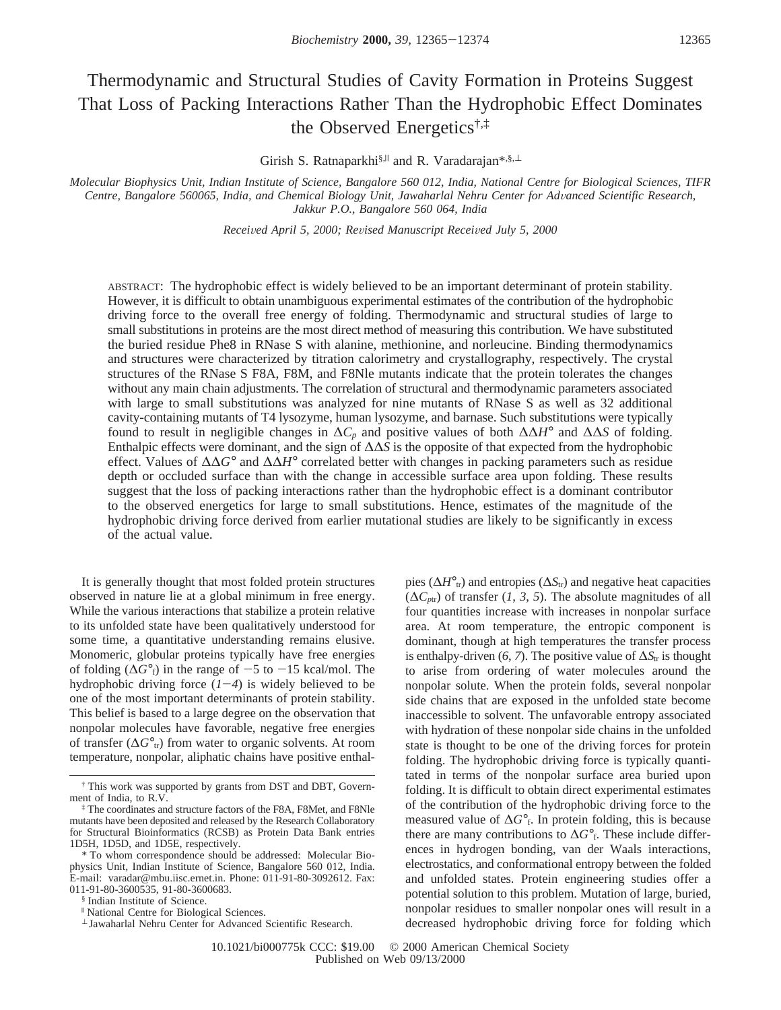# Thermodynamic and Structural Studies of Cavity Formation in Proteins Suggest That Loss of Packing Interactions Rather Than the Hydrophobic Effect Dominates the Observed Energetics†,‡

Girish S. Ratnaparkhi<sup>§,||</sup> and R. Varadarajan<sup>\*,§,⊥</sup>

*Molecular Biophysics Unit, Indian Institute of Science, Bangalore 560 012, India, National Centre for Biological Sciences, TIFR Centre, Bangalore 560065, India, and Chemical Biology Unit, Jawaharlal Nehru Center for Ad*V*anced Scientific Research, Jakkur P.O., Bangalore 560 064, India*

*Received April 5, 2000; Revised Manuscript Received July 5, 2000* 

ABSTRACT: The hydrophobic effect is widely believed to be an important determinant of protein stability. However, it is difficult to obtain unambiguous experimental estimates of the contribution of the hydrophobic driving force to the overall free energy of folding. Thermodynamic and structural studies of large to small substitutions in proteins are the most direct method of measuring this contribution. We have substituted the buried residue Phe8 in RNase S with alanine, methionine, and norleucine. Binding thermodynamics and structures were characterized by titration calorimetry and crystallography, respectively. The crystal structures of the RNase S F8A, F8M, and F8Nle mutants indicate that the protein tolerates the changes without any main chain adjustments. The correlation of structural and thermodynamic parameters associated with large to small substitutions was analyzed for nine mutants of RNase S as well as 32 additional cavity-containing mutants of T4 lysozyme, human lysozyme, and barnase. Such substitutions were typically found to result in negligible changes in  $\Delta C_p$  and positive values of both  $\Delta \Delta H^{\circ}$  and  $\Delta \Delta S$  of folding. Enthalpic effects were dominant, and the sign of ∆∆*S* is the opposite of that expected from the hydrophobic effect. Values of ∆∆*G*° and ∆∆*H*° correlated better with changes in packing parameters such as residue depth or occluded surface than with the change in accessible surface area upon folding. These results suggest that the loss of packing interactions rather than the hydrophobic effect is a dominant contributor to the observed energetics for large to small substitutions. Hence, estimates of the magnitude of the hydrophobic driving force derived from earlier mutational studies are likely to be significantly in excess of the actual value.

It is generally thought that most folded protein structures observed in nature lie at a global minimum in free energy. While the various interactions that stabilize a protein relative to its unfolded state have been qualitatively understood for some time, a quantitative understanding remains elusive. Monomeric, globular proteins typically have free energies of folding ( $\Delta G^{\circ}$ <sub>f</sub>) in the range of  $-5$  to  $-15$  kcal/mol. The hydrophobic driving force  $(1-4)$  is widely believed to be one of the most important determinants of protein stability. This belief is based to a large degree on the observation that nonpolar molecules have favorable, negative free energies of transfer (∆*G*°tr) from water to organic solvents. At room temperature, nonpolar, aliphatic chains have positive enthalpies (Δ*H*<sup>°</sup><sub>tr</sub>) and entropies (Δ*S*<sub>tr</sub>) and negative heat capacities  $(\Delta C_{\text{ptr}})$  of transfer (*1*, *3*, *5*). The absolute magnitudes of all four quantities increase with increases in nonpolar surface area. At room temperature, the entropic component is dominant, though at high temperatures the transfer process is enthalpy-driven (6, 7). The positive value of  $\Delta S_{tr}$  is thought to arise from ordering of water molecules around the nonpolar solute. When the protein folds, several nonpolar side chains that are exposed in the unfolded state become inaccessible to solvent. The unfavorable entropy associated with hydration of these nonpolar side chains in the unfolded state is thought to be one of the driving forces for protein folding. The hydrophobic driving force is typically quantitated in terms of the nonpolar surface area buried upon folding. It is difficult to obtain direct experimental estimates of the contribution of the hydrophobic driving force to the measured value of ∆*G*°f. In protein folding, this is because there are many contributions to ∆*G*°f. These include differences in hydrogen bonding, van der Waals interactions, electrostatics, and conformational entropy between the folded and unfolded states. Protein engineering studies offer a potential solution to this problem. Mutation of large, buried, nonpolar residues to smaller nonpolar ones will result in a decreased hydrophobic driving force for folding which

<sup>†</sup> This work was supported by grants from DST and DBT, Government of India, to R.V.

<sup>‡</sup> The coordinates and structure factors of the F8A, F8Met, and F8Nle mutants have been deposited and released by the Research Collaboratory for Structural Bioinformatics (RCSB) as Protein Data Bank entries 1D5H, 1D5D, and 1D5E, respectively.

<sup>\*</sup> To whom correspondence should be addressed: Molecular Biophysics Unit, Indian Institute of Science, Bangalore 560 012, India. E-mail: varadar@mbu.iisc.ernet.in. Phone: 011-91-80-3092612. Fax: 011-91-80-3600535, 91-80-3600683.

<sup>§</sup> Indian Institute of Science.

<sup>|</sup> National Centre for Biological Sciences.

<sup>⊥</sup> Jawaharlal Nehru Center for Advanced Scientific Research.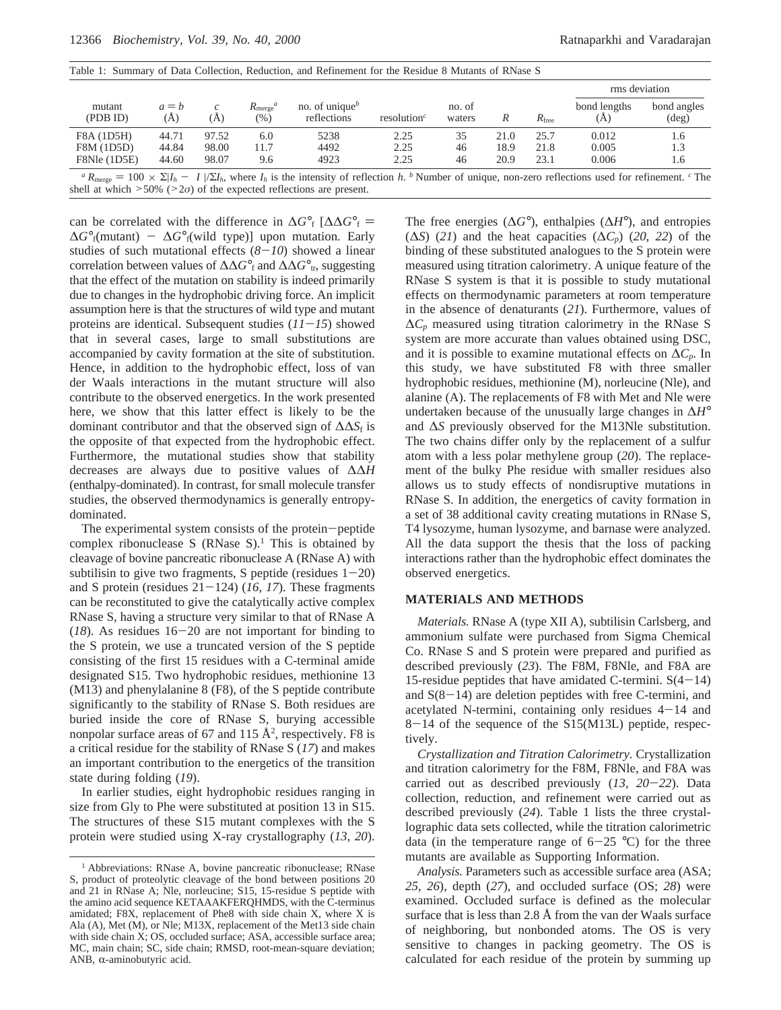|                    |                |       |                                |                                                                                                                                                                                                                                     |                                      |                  | rms deviation |                |                     |                               |
|--------------------|----------------|-------|--------------------------------|-------------------------------------------------------------------------------------------------------------------------------------------------------------------------------------------------------------------------------------|--------------------------------------|------------------|---------------|----------------|---------------------|-------------------------------|
| mutant<br>(PDB ID) | $a = b$<br>(A) | A)    | $R_{\text{merge}}^a$<br>$(\%)$ | no. of unique $\ell$<br>reflections                                                                                                                                                                                                 | resolution <sup><math>c</math></sup> | no. of<br>waters |               | $R_{\rm free}$ | bond lengths<br>(A) | bond angles<br>$(\text{deg})$ |
| F8A (1D5H)         | 44.71          | 97.52 | 6.0                            | 5238                                                                                                                                                                                                                                | 2.25                                 | 35               | 21.0          | 25.7           | 0.012               | 1.6                           |
| F8M (1D5D)         | 44.84          | 98.00 | 11.7                           | 4492                                                                                                                                                                                                                                | 2.25                                 | 46               | 18.9          | 21.8           | 0.005               | 1.3                           |
| F8Nle (1D5E)       | 44.60          | 98.07 | 9.6                            | 4923                                                                                                                                                                                                                                | 2.25                                 | 46               | 20.9          | 23.1           | 0.006               | 1.6                           |
|                    |                |       |                                | <sup>a</sup> $R_{\text{merge}} = 100 \times \Sigma  I_h - \langle I \rangle / \Sigma I_h$ , where $I_h$ is the intensity of reflection h. <sup>b</sup> Number of unique, non-zero reflections used for refinement. <sup>c</sup> The |                                      |                  |               |                |                     |                               |

Table 1: Summary of Data Collection, Reduction, and Refinement for the Residue 8 Mutants of RNase S

*a*  $R_{\text{merge}} = 100 \times \Sigma |I_h - \langle I \rangle / \Sigma I_h$ , where  $I_h$  is the intensity of reflection *h*. *b* Number of unique, non-zero reflections used for refinement. *c* The  $\frac{1}{2}$  at which  $\geq 50\%$  ( $\geq 2\sigma$ ) of the expected reflec shell at which  $>50\%$  ( $>2\sigma$ ) of the expected reflections are present.

can be correlated with the difference in  $\Delta G^{\circ}{}_{f}$  [ $\Delta \Delta G^{\circ}{}_{f}$  =  $\Delta G^{\circ}$ <sub>f</sub>(mutant) -  $\Delta G^{\circ}$ <sub>f</sub>(wild type)] upon mutation. Early studies of such mutational effects  $(8-10)$  showed a linear correlation between values of  $\Delta \Delta G^{\circ}$ <sub>f</sub> and  $\Delta \Delta G^{\circ}$ <sub>tr</sub>, suggesting that the effect of the mutation on stability is indeed primarily due to changes in the hydrophobic driving force. An implicit assumption here is that the structures of wild type and mutant proteins are identical. Subsequent studies  $(11-15)$  showed that in several cases, large to small substitutions are accompanied by cavity formation at the site of substitution. Hence, in addition to the hydrophobic effect, loss of van der Waals interactions in the mutant structure will also contribute to the observed energetics. In the work presented here, we show that this latter effect is likely to be the dominant contributor and that the observed sign of ∆∆*S*<sup>f</sup> is the opposite of that expected from the hydrophobic effect. Furthermore, the mutational studies show that stability decreases are always due to positive values of ∆∆*H* (enthalpy-dominated). In contrast, for small molecule transfer studies, the observed thermodynamics is generally entropydominated.

The experimental system consists of the protein-peptide complex ribonuclease  $S$  (RNase  $S$ ).<sup>1</sup> This is obtained by cleavage of bovine pancreatic ribonuclease A (RNase A) with subtilisin to give two fragments, S peptide (residues  $1-20$ ) and S protein (residues  $21-124$ ) (*16*, *17*). These fragments can be reconstituted to give the catalytically active complex RNase S, having a structure very similar to that of RNase A (*18*). As residues 16-20 are not important for binding to the S protein, we use a truncated version of the S peptide consisting of the first 15 residues with a C-terminal amide designated S15. Two hydrophobic residues, methionine 13 (M13) and phenylalanine 8 (F8), of the S peptide contribute significantly to the stability of RNase S. Both residues are buried inside the core of RNase S, burying accessible nonpolar surface areas of 67 and 115  $\AA^2$ , respectively. F8 is a critical residue for the stability of RNase S (*17*) and makes an important contribution to the energetics of the transition state during folding (*19*).

In earlier studies, eight hydrophobic residues ranging in size from Gly to Phe were substituted at position 13 in S15. The structures of these S15 mutant complexes with the S protein were studied using X-ray crystallography (*13*, *20*). The free energies ( $\Delta G^{\circ}$ ), enthalpies ( $\Delta H^{\circ}$ ), and entropies  $(\Delta S)$  (21) and the heat capacities ( $\Delta C_p$ ) (20, 22) of the binding of these substituted analogues to the S protein were measured using titration calorimetry. A unique feature of the RNase S system is that it is possible to study mutational effects on thermodynamic parameters at room temperature in the absence of denaturants (*21*). Furthermore, values of  $\Delta C_p$  measured using titration calorimetry in the RNase S system are more accurate than values obtained using DSC, and it is possible to examine mutational effects on  $\Delta C_p$ . In this study, we have substituted F8 with three smaller hydrophobic residues, methionine (M), norleucine (Nle), and alanine (A). The replacements of F8 with Met and Nle were undertaken because of the unusually large changes in ∆*H*° and ∆*S* previously observed for the M13Nle substitution. The two chains differ only by the replacement of a sulfur atom with a less polar methylene group (*20*). The replacement of the bulky Phe residue with smaller residues also allows us to study effects of nondisruptive mutations in RNase S. In addition, the energetics of cavity formation in a set of 38 additional cavity creating mutations in RNase S, T4 lysozyme, human lysozyme, and barnase were analyzed. All the data support the thesis that the loss of packing interactions rather than the hydrophobic effect dominates the observed energetics.

#### **MATERIALS AND METHODS**

*Materials.* RNase A (type XII A), subtilisin Carlsberg, and ammonium sulfate were purchased from Sigma Chemical Co. RNase S and S protein were prepared and purified as described previously (*23*). The F8M, F8Nle, and F8A are 15-residue peptides that have amidated C-termini.  $S(4-14)$ and  $S(8-14)$  are deletion peptides with free C-termini, and acetylated N-termini, containing only residues  $4-14$  and <sup>8</sup>-14 of the sequence of the S15(M13L) peptide, respectively.

*Crystallization and Titration Calorimetry.* Crystallization and titration calorimetry for the F8M, F8Nle, and F8A was carried out as described previously (*13*, *<sup>20</sup>*-*22*). Data collection, reduction, and refinement were carried out as described previously (*24*). Table 1 lists the three crystallographic data sets collected, while the titration calorimetric data (in the temperature range of  $6-25$  °C) for the three mutants are available as Supporting Information.

*Analysis.* Parameters such as accessible surface area (ASA; *25*, *26*), depth (*27*), and occluded surface (OS; *28*) were examined. Occluded surface is defined as the molecular surface that is less than 2.8 Å from the van der Waals surface of neighboring, but nonbonded atoms. The OS is very sensitive to changes in packing geometry. The OS is calculated for each residue of the protein by summing up

<sup>&</sup>lt;sup>1</sup> Abbreviations: RNase A, bovine pancreatic ribonuclease; RNase S, product of proteolytic cleavage of the bond between positions 20 and 21 in RNase A; Nle, norleucine; S15, 15-residue S peptide with the amino acid sequence KETAAAKFERQHMDS, with the C-terminus amidated; F8X, replacement of Phe8 with side chain X, where X is Ala (A), Met (M), or Nle; M13X, replacement of the Met13 side chain with side chain X; OS, occluded surface; ASA, accessible surface area; MC, main chain; SC, side chain; RMSD, root-mean-square deviation; ANB,  $\alpha$ -aminobutyric acid.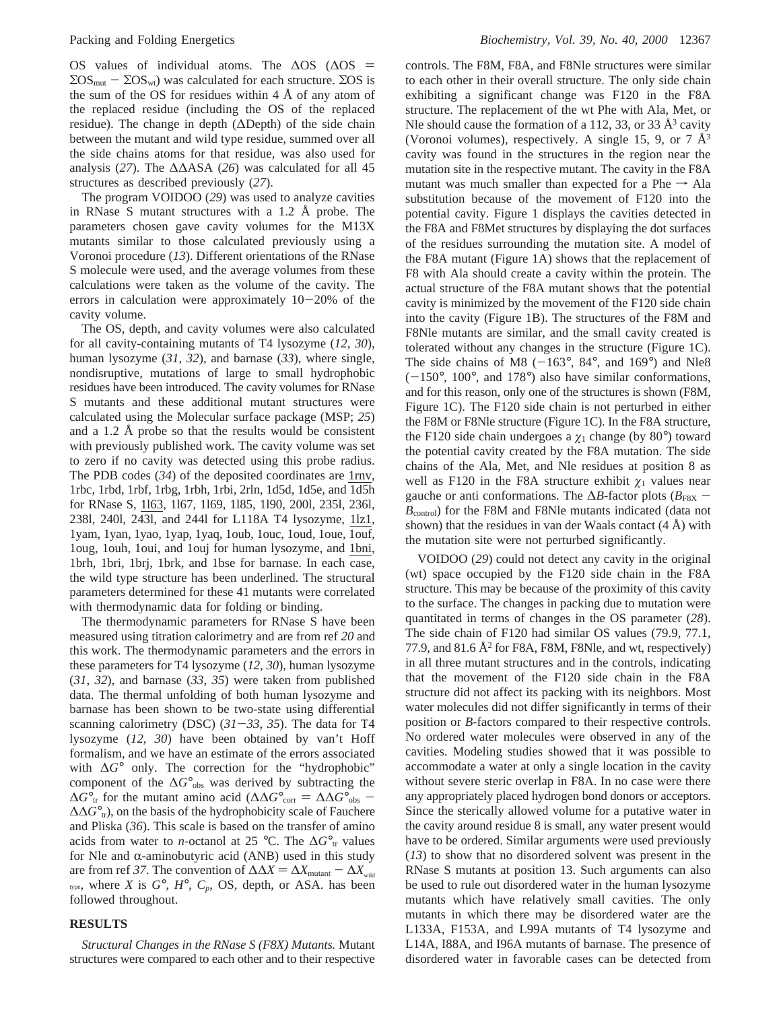OS values of individual atoms. The  $\Delta OS$  ( $\Delta OS$  =  $\Sigma$ OS<sub>mut</sub> –  $\Sigma$ OS<sub>wt</sub>) was calculated for each structure.  $\Sigma$ OS is the sum of the OS for residues within  $4 \text{ Å}$  of any atom of the replaced residue (including the OS of the replaced residue). The change in depth (∆Depth) of the side chain between the mutant and wild type residue, summed over all the side chains atoms for that residue, was also used for analysis (*27*). The ∆∆ASA (*26*) was calculated for all 45 structures as described previously (*27*).

The program VOIDOO (*29*) was used to analyze cavities in RNase S mutant structures with a 1.2 Å probe. The parameters chosen gave cavity volumes for the M13X mutants similar to those calculated previously using a Voronoi procedure (*13*). Different orientations of the RNase S molecule were used, and the average volumes from these calculations were taken as the volume of the cavity. The errors in calculation were approximately  $10-20%$  of the cavity volume.

The OS, depth, and cavity volumes were also calculated for all cavity-containing mutants of T4 lysozyme (*12*, *30*), human lysozyme (*31*, *32*), and barnase (*33*), where single, nondisruptive, mutations of large to small hydrophobic residues have been introduced. The cavity volumes for RNase S mutants and these additional mutant structures were calculated using the Molecular surface package (MSP; *25*) and a 1.2 Å probe so that the results would be consistent with previously published work. The cavity volume was set to zero if no cavity was detected using this probe radius. The PDB codes (*34*) of the deposited coordinates are 1rnv, 1rbc, 1rbd, 1rbf, 1rbg, 1rbh, 1rbi, 2rln, 1d5d, 1d5e, and 1d5h for RNase S, 1l63, 1l67, 1l69, 1l85, 1l90, 200l, 235l, 236l, 238l, 240l, 243l, and 244l for L118A T4 lysozyme, 1lz1, 1yam, 1yan, 1yao, 1yap, 1yaq, 1oub, 1ouc, 1oud, 1oue, 1ouf, 1oug, 1ouh, 1oui, and 1ouj for human lysozyme, and 1bni, 1brh, 1bri, 1brj, 1brk, and 1bse for barnase. In each case, the wild type structure has been underlined. The structural parameters determined for these 41 mutants were correlated with thermodynamic data for folding or binding.

The thermodynamic parameters for RNase S have been measured using titration calorimetry and are from ref *20* and this work. The thermodynamic parameters and the errors in these parameters for T4 lysozyme (*12*, *30*), human lysozyme (*31*, *32*), and barnase (*33*, *35*) were taken from published data. The thermal unfolding of both human lysozyme and barnase has been shown to be two-state using differential scanning calorimetry (DSC) (*31*-*33*, *<sup>35</sup>*). The data for T4 lysozyme (*12*, *30*) have been obtained by van't Hoff formalism, and we have an estimate of the errors associated with ∆*G*° only. The correction for the "hydrophobic" component of the  $\Delta G^{\circ}{}_{\text{obs}}$  was derived by subtracting the  $\Delta G^{\circ}_{\text{tr}}$  for the mutant amino acid ( $\Delta \Delta G^{\circ}_{\text{corr}} = \Delta \Delta G^{\circ}_{\text{obs}}$  -∆∆*G*°tr), on the basis of the hydrophobicity scale of Fauchere and Pliska (*36*). This scale is based on the transfer of amino acids from water to *n*-octanol at 25 °C. The  $\Delta G^{\circ}_{tr}$  values for Nle and  $\alpha$ -aminobutyric acid (ANB) used in this study are from ref 37. The convention of  $\Delta \Delta X = \Delta X_{\text{mutant}} - \Delta X_{\text{unit}}$ type, where *X* is  $G^{\circ}$ ,  $H^{\circ}$ ,  $C_p$ , OS, depth, or ASA. has been followed throughout.

#### **RESULTS**

*Structural Changes in the RNase S (F8X) Mutants.* Mutant structures were compared to each other and to their respective

controls. The F8M, F8A, and F8Nle structures were similar to each other in their overall structure. The only side chain exhibiting a significant change was F120 in the F8A structure. The replacement of the wt Phe with Ala, Met, or Nle should cause the formation of a 112, 33, or 33  $\AA$ <sup>3</sup> cavity (Voronoi volumes), respectively. A single 15, 9, or 7  $\AA$ <sup>3</sup> cavity was found in the structures in the region near the mutation site in the respective mutant. The cavity in the F8A mutant was much smaller than expected for a Phe  $\rightarrow$  Ala substitution because of the movement of F120 into the potential cavity. Figure 1 displays the cavities detected in the F8A and F8Met structures by displaying the dot surfaces of the residues surrounding the mutation site. A model of the F8A mutant (Figure 1A) shows that the replacement of F8 with Ala should create a cavity within the protein. The actual structure of the F8A mutant shows that the potential cavity is minimized by the movement of the F120 side chain into the cavity (Figure 1B). The structures of the F8M and F8Nle mutants are similar, and the small cavity created is tolerated without any changes in the structure (Figure 1C). The side chains of M8  $(-163^{\circ}, 84^{\circ},$  and  $169^{\circ})$  and Nle8  $(-150^{\circ}, 100^{\circ}, \text{ and } 178^{\circ})$  also have similar conformations, and for this reason, only one of the structures is shown (F8M, Figure 1C). The F120 side chain is not perturbed in either the F8M or F8Nle structure (Figure 1C). In the F8A structure, the F120 side chain undergoes a  $\chi_1$  change (by 80<sup>o</sup>) toward the potential cavity created by the F8A mutation. The side chains of the Ala, Met, and Nle residues at position 8 as well as F120 in the F8A structure exhibit  $\chi_1$  values near gauche or anti conformations. The  $\Delta B$ -factor plots ( $B_{F8X}$  – *B*<sub>control</sub>) for the F8M and F8Nle mutants indicated (data not shown) that the residues in van der Waals contact  $(4 \text{ Å})$  with the mutation site were not perturbed significantly.

VOIDOO (*29*) could not detect any cavity in the original (wt) space occupied by the F120 side chain in the F8A structure. This may be because of the proximity of this cavity to the surface. The changes in packing due to mutation were quantitated in terms of changes in the OS parameter (*28*). The side chain of F120 had similar OS values (79.9, 77.1, 77.9, and  $81.6 \text{ Å}^2$  for F8A, F8M, F8Nle, and wt, respectively) in all three mutant structures and in the controls, indicating that the movement of the F120 side chain in the F8A structure did not affect its packing with its neighbors. Most water molecules did not differ significantly in terms of their position or *B*-factors compared to their respective controls. No ordered water molecules were observed in any of the cavities. Modeling studies showed that it was possible to accommodate a water at only a single location in the cavity without severe steric overlap in F8A. In no case were there any appropriately placed hydrogen bond donors or acceptors. Since the sterically allowed volume for a putative water in the cavity around residue 8 is small, any water present would have to be ordered. Similar arguments were used previously (*13*) to show that no disordered solvent was present in the RNase S mutants at position 13. Such arguments can also be used to rule out disordered water in the human lysozyme mutants which have relatively small cavities. The only mutants in which there may be disordered water are the L133A, F153A, and L99A mutants of T4 lysozyme and L14A, I88A, and I96A mutants of barnase. The presence of disordered water in favorable cases can be detected from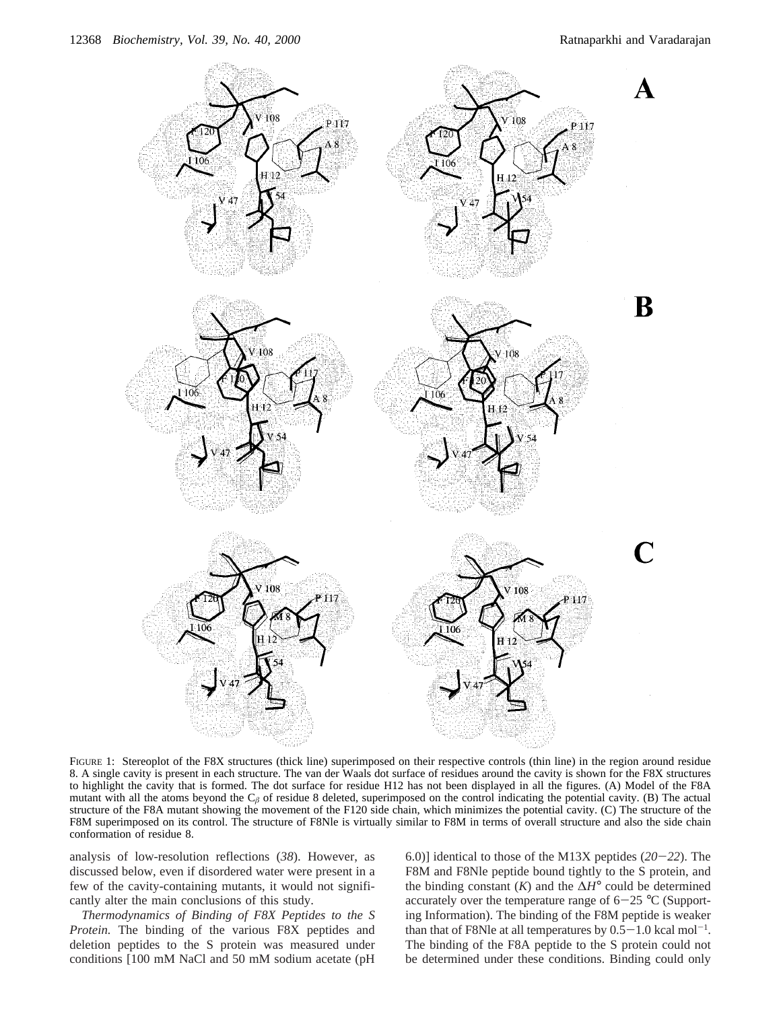

FIGURE 1: Stereoplot of the F8X structures (thick line) superimposed on their respective controls (thin line) in the region around residue 8. A single cavity is present in each structure. The van der Waals dot surface of residues around the cavity is shown for the F8X structures to highlight the cavity that is formed. The dot surface for residue H12 has not been displayed in all the figures. (A) Model of the F8A mutant with all the atoms beyond the C*<sup>â</sup>* of residue 8 deleted, superimposed on the control indicating the potential cavity. (B) The actual structure of the F8A mutant showing the movement of the F120 side chain, which minimizes the potential cavity. (C) The structure of the F8M superimposed on its control. The structure of F8Nle is virtually similar to F8M in terms of overall structure and also the side chain conformation of residue 8.

analysis of low-resolution reflections (*38*). However, as discussed below, even if disordered water were present in a few of the cavity-containing mutants, it would not significantly alter the main conclusions of this study.

*Thermodynamics of Binding of F8X Peptides to the S Protein.* The binding of the various F8X peptides and deletion peptides to the S protein was measured under conditions [100 mM NaCl and 50 mM sodium acetate (pH 6.0)] identical to those of the M13X peptides (*20*-*22*). The F8M and F8Nle peptide bound tightly to the S protein, and the binding constant  $(K)$  and the  $\Delta H^{\circ}$  could be determined accurately over the temperature range of  $6-25$  °C (Supporting Information). The binding of the F8M peptide is weaker than that of F8Nle at all temperatures by  $0.5-1.0$  kcal mol<sup>-1</sup>.<br>The binding of the F8A pentide to the S protein could not The binding of the F8A peptide to the S protein could not be determined under these conditions. Binding could only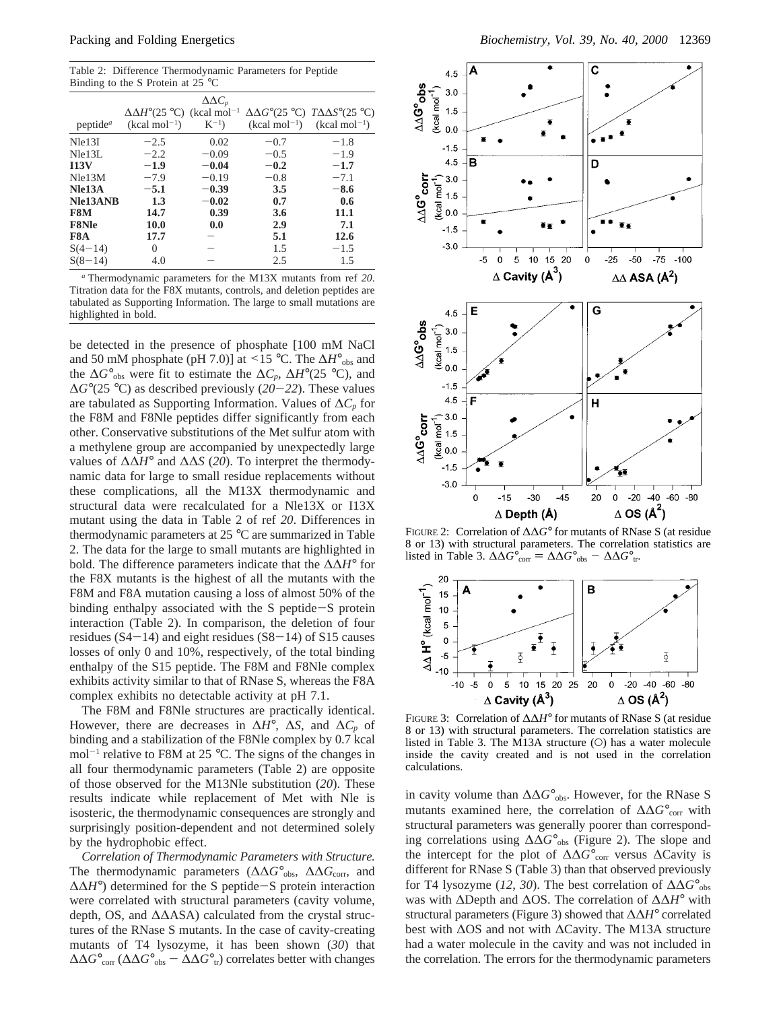Table 2: Difference Thermodynamic Parameters for Peptide Binding to the S Protein at 25 °C

| peptide <sup>a</sup> | $\Delta\Delta H^{\circ}$ (25 °C) (kcal mol <sup>-1</sup><br>$(kcal mol-1)$ | $\Delta \Delta C_n$<br>$K^{-1}$ ) |        | $\Delta\Delta G^{\circ}(25 \text{ °C})$ $T\Delta\Delta S^{\circ}(25 \text{ °C})$<br>$(kcal mol-1)$ $(kcal mol-1)$ |
|----------------------|----------------------------------------------------------------------------|-----------------------------------|--------|-------------------------------------------------------------------------------------------------------------------|
| Ne <sub>13I</sub>    | $-2.5$                                                                     | 0.02                              | $-0.7$ | $-1.8$                                                                                                            |
| Nle13L               | $-2.2$                                                                     | $-0.09$                           | $-0.5$ | $-1.9$                                                                                                            |
| I13V                 | $-1.9$                                                                     | $-0.04$                           | $-0.2$ | $-1.7$                                                                                                            |
| Nle13M               | $-7.9$                                                                     | $-0.19$                           | $-0.8$ | $-7.1$                                                                                                            |
| Nle13A               | $-5.1$                                                                     | $-0.39$                           | 3.5    | $-8.6$                                                                                                            |
| Nle13ANB             | 1.3                                                                        | $-0.02$                           | 0.7    | 0.6                                                                                                               |
| F8M                  | 14.7                                                                       | 0.39                              | 3.6    | 11.1                                                                                                              |
| <b>F8Nle</b>         | 10.0                                                                       | 0.0                               | 2.9    | 7.1                                                                                                               |
| F8A                  | 17.7                                                                       |                                   | 5.1    | 12.6                                                                                                              |
| $S(4-14)$            | $\theta$                                                                   |                                   | 1.5    | $-1.5$                                                                                                            |
| $S(8-14)$            | 4.0                                                                        |                                   | 2.5    | 1.5                                                                                                               |
|                      |                                                                            |                                   |        | <sup>a</sup> Thermodynamic parameters for the M13X mutants from ref 20.                                           |

Titration data for the F8X mutants, controls, and deletion peptides are tabulated as Supporting Information. The large to small mutations are highlighted in bold.

be detected in the presence of phosphate [100 mM NaCl and 50 mM phosphate (pH 7.0)] at <15 °C. The  $\Delta H^{\circ}{}_{\text{obs}}$  and the  $\Delta G^{\circ}{}_{\text{obs}}$  were fit to estimate the  $\Delta C_p$ ,  $\Delta H^{\circ}(25 \text{ °C})$ , and <sup>∆</sup>*G*°(25 °C) as described previously (*20*-*22*). These values are tabulated as Supporting Information. Values of ∆*Cp* for the F8M and F8Nle peptides differ significantly from each other. Conservative substitutions of the Met sulfur atom with a methylene group are accompanied by unexpectedly large values of ∆∆*H*° and ∆∆*S* (*20*). To interpret the thermodynamic data for large to small residue replacements without these complications, all the M13X thermodynamic and structural data were recalculated for a Nle13X or I13X mutant using the data in Table 2 of ref *20*. Differences in thermodynamic parameters at 25 °C are summarized in Table 2. The data for the large to small mutants are highlighted in bold. The difference parameters indicate that the ∆∆*H*° for the F8X mutants is the highest of all the mutants with the F8M and F8A mutation causing a loss of almost 50% of the binding enthalpy associated with the S peptide-S protein interaction (Table 2). In comparison, the deletion of four residues  $(S4-14)$  and eight residues  $(S8-14)$  of S15 causes losses of only 0 and 10%, respectively, of the total binding enthalpy of the S15 peptide. The F8M and F8Nle complex exhibits activity similar to that of RNase S, whereas the F8A complex exhibits no detectable activity at pH 7.1.

The F8M and F8Nle structures are practically identical. However, there are decreases in ∆*H*°, ∆*S*, and ∆*Cp* of binding and a stabilization of the F8Nle complex by 0.7 kcal mol<sup>-1</sup> relative to F8M at 25 °C. The signs of the changes in all four thermodynamic parameters (Table 2) are opposite of those observed for the M13Nle substitution (*20*). These results indicate while replacement of Met with Nle is isosteric, the thermodynamic consequences are strongly and surprisingly position-dependent and not determined solely by the hydrophobic effect.

*Correlation of Thermodynamic Parameters with Structure.* The thermodynamic parameters ( $ΔΔG<sup>°</sup>_{obs}$ ,  $ΔΔG<sub>corr</sub>$ , and ∆∆*H*°) determined for the S peptide-S protein interaction were correlated with structural parameters (cavity volume, depth, OS, and ∆∆ASA) calculated from the crystal structures of the RNase S mutants. In the case of cavity-creating mutants of T4 lysozyme, it has been shown (*30*) that  $\Delta \Delta G^{\circ}{}_{\text{corr}}$  ( $\Delta \Delta G^{\circ}{}_{\text{obs}}$  –  $\Delta \Delta G^{\circ}{}_{\text{tr}}$ ) correlates better with changes



FIGURE 2: Correlation of ∆∆*G*° for mutants of RNase S (at residue 8 or 13) with structural parameters. The correlation statistics are listed in Table 3.  $\Delta \Delta G^{\circ}_{\text{corr}} = \Delta \Delta G^{\circ}_{\text{obs}} - \Delta \Delta G^{\circ}_{\text{tr}}.$ 



FIGURE 3: Correlation of ∆∆*H*° for mutants of RNase S (at residue 8 or 13) with structural parameters. The correlation statistics are listed in Table 3. The M13A structure (O) has a water molecule inside the cavity created and is not used in the correlation calculations.

in cavity volume than ∆∆*G*°obs. However, for the RNase S mutants examined here, the correlation of  $\Delta \Delta G^{\circ}_{\text{corr}}$  with structural parameters was generally poorer than corresponding correlations using ∆∆*G*°obs (Figure 2). The slope and the intercept for the plot of  $\Delta\Delta G^{\circ}{}_{\text{corr}}$  versus  $\Delta$ Cavity is different for RNase S (Table 3) than that observed previously for T4 lysozyme (12, 30). The best correlation of  $\Delta \Delta G^{\circ}{}_{\text{obs}}$ was with ∆Depth and ∆OS. The correlation of ∆∆*H*° with structural parameters (Figure 3) showed that ∆∆*H*° correlated best with ∆OS and not with ∆Cavity. The M13A structure had a water molecule in the cavity and was not included in the correlation. The errors for the thermodynamic parameters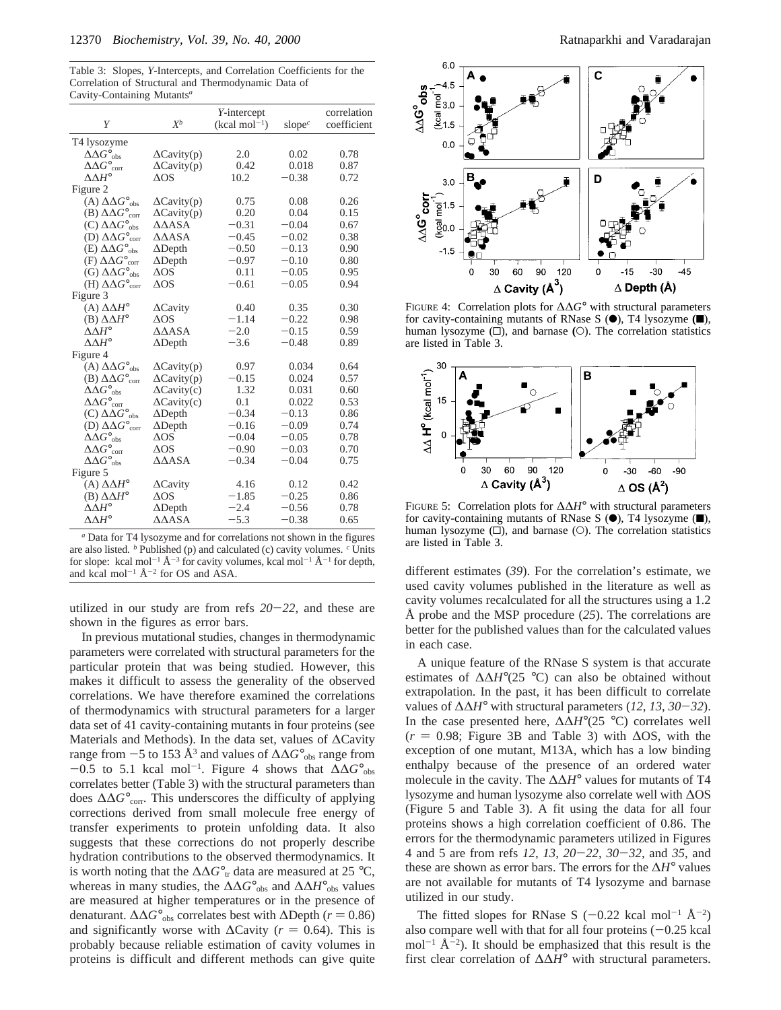Table 3: Slopes, *Y*-Intercepts, and Correlation Coefficients for the Correlation of Structural and Thermodynamic Data of Cavity-Containing Mutants*<sup>a</sup>*

| Y                                            | $X^b$              | Y-intercept<br>$(kcal mol-1)$                                                   | slope $^c$ | correlation<br>coefficient |
|----------------------------------------------|--------------------|---------------------------------------------------------------------------------|------------|----------------------------|
| T4 lysozyme                                  |                    |                                                                                 |            |                            |
| $\Delta\Delta G^\circ_{\rm obs}$             | $\Delta$ Cavity(p) | 2.0                                                                             | 0.02       | 0.78                       |
| $\Delta\Delta G^\circ{}_{\rm corr}$          | $\Delta$ Cavity(p) | 0.42                                                                            | 0.018      | 0.87                       |
| $\Lambda \Lambda H^{\circ}$                  | $\Delta OS$        | 10.2                                                                            | $-0.38$    | 0.72                       |
| Figure 2                                     |                    |                                                                                 |            |                            |
| (A) $\Delta\Delta G^{\circ}{}_{\text{obs}}$  | $\Delta$ Cavity(p) | 0.75                                                                            | 0.08       | 0.26                       |
| (B) $\Delta\Delta G^{\circ}{}_{\text{corr}}$ | $\Delta$ Cavity(p) | 0.20                                                                            | 0.04       | 0.15                       |
| (C) $\Delta\Delta G^{\circ}{}_{\text{obs}}$  | $\triangle A$ ASA  | $-0.31$                                                                         | $-0.04$    | 0.67                       |
| (D) $\Delta\Delta G^{\circ}{}_{\text{corr}}$ | $\triangle A$ ASA  | $-0.45$                                                                         | $-0.02$    | 0.38                       |
| $(E) \Delta \Delta G^{\circ}{}_{\text{obs}}$ | $\Delta$ Depth     | $-0.50$                                                                         | $-0.13$    | 0.90                       |
| (F) $\Delta\Delta G^\circ{}_{\rm corr}$      | $\Delta$ Depth     | $-0.97$                                                                         | $-0.10$    | 0.80                       |
| (G) $\Delta\Delta G^{\circ}{}_{\text{obs}}$  | $\Delta OS$        | 0.11                                                                            | $-0.05$    | 0.95                       |
| (H) $\Delta\Delta G^{\circ}{}_{\text{corr}}$ | $\Delta OS$        | $-0.61$                                                                         | $-0.05$    | 0.94                       |
| Figure 3                                     |                    |                                                                                 |            |                            |
| (A) $\Delta\Delta H^{\circ}$                 | $\Delta$ Cavity    | 0.40                                                                            | 0.35       | 0.30                       |
| $(B)$ $\Delta\Delta H^{\circ}$               | $\Delta OS$        | $-1.14$                                                                         | $-0.22$    | 0.98                       |
| $\Delta \Delta H^\circ$                      | $\triangle AASA$   | $-2.0$                                                                          | $-0.15$    | 0.59                       |
| $\Lambda \Lambda H^{\circ}$                  | $\Delta$ Depth     | $-3.6$                                                                          | $-0.48$    | 0.89                       |
| Figure 4                                     |                    |                                                                                 |            |                            |
| (A) $\Delta\Delta G^{\circ}{}_{\text{obs}}$  | $\Delta$ Cavity(p) | 0.97                                                                            | 0.034      | 0.64                       |
| (B) $\Delta\Delta G^{\circ}{}_{\text{corr}}$ | $\Delta$ Cavity(p) | $-0.15$                                                                         | 0.024      | 0.57                       |
| $\Delta\Delta G^\circ_{\rm obs}$             | $\Delta$ Cavity(c) | 1.32                                                                            | 0.031      | 0.60                       |
| $\Delta\Delta G^\circ{}_{\rm corr}$          | $\Delta$ Cavity(c) | 0.1                                                                             | 0.022      | 0.53                       |
| (C) $\Delta\Delta G^\circ{}_{\mathrm{obs}}$  | $\Delta$ Depth     | $-0.34$                                                                         | $-0.13$    | 0.86                       |
| (D) $\Delta\Delta G^{\circ}{}_{\text{corr}}$ | $\Delta$ Depth     | $-0.16$                                                                         | $-0.09$    | 0.74                       |
| $\Delta\Delta G^\circ_{\rm obs}$             | $\Delta OS$        | $-0.04$                                                                         | $-0.05$    | 0.78                       |
| $\Delta\Delta G^\circ{}_{\rm corr}$          | $\Delta OS$        | $-0.90$                                                                         | $-0.03$    | 0.70                       |
| $\Delta\Delta G^\circ_{\rm obs}$             | $\triangle A$ ASA  | $-0.34$                                                                         | $-0.04$    | 0.75                       |
| Figure 5                                     |                    |                                                                                 |            |                            |
| (A) $\Delta\Delta H^{\circ}$                 | $\Delta$ Cavity    | 4.16                                                                            | 0.12       | 0.42                       |
| (B) $\Delta\Delta H^{\circ}$                 | $\Delta OS$        | $-1.85$                                                                         | $-0.25$    | 0.86                       |
| $\Delta \Delta H^{\circ}$                    | $\Delta$ Depth     | $-2.4$                                                                          | $-0.56$    | 0.78                       |
| $\Lambda \Lambda H^{\circ}$                  | $\triangle A$ ASA  | $-5.3$                                                                          | $-0.38$    | 0.65                       |
|                                              |                    | <sup>a</sup> Data for T4 lysozyme and for correlations not shown in the figures |            |                            |

are also listed. *<sup>b</sup>* Published (p) and calculated (c) cavity volumes. *<sup>c</sup>* Units for slope: kcal mol<sup>-1</sup>  $\AA^{-3}$  for cavity volumes, kcal mol<sup>-1</sup>  $\AA^{-1}$  for depth, and kcal mol<sup>-1</sup>  $\AA^{-2}$  for OS and ASA.

utilized in our study are from refs *<sup>20</sup>*-*22*, and these are shown in the figures as error bars.

In previous mutational studies, changes in thermodynamic parameters were correlated with structural parameters for the particular protein that was being studied. However, this makes it difficult to assess the generality of the observed correlations. We have therefore examined the correlations of thermodynamics with structural parameters for a larger data set of 41 cavity-containing mutants in four proteins (see Materials and Methods). In the data set, values of ∆Cavity range from -5 to 153 Å3 and values of ∆∆*G*°obs range from  $-0.5$  to 5.1 kcal mol<sup>-1</sup>. Figure 4 shows that  $\Delta\Delta G^{\circ}_{obs}$ <br>correlates better (Table 3) with the structural parameters than correlates better (Table 3) with the structural parameters than does ∆∆*G*°corr. This underscores the difficulty of applying corrections derived from small molecule free energy of transfer experiments to protein unfolding data. It also suggests that these corrections do not properly describe hydration contributions to the observed thermodynamics. It is worth noting that the  $\Delta \Delta G^{\circ}_{tr}$  data are measured at 25 °C, whereas in many studies, the  $\Delta \Delta G^{\circ}{}_{\text{obs}}$  and  $\Delta \Delta H^{\circ}{}_{\text{obs}}$  values are measured at higher temperatures or in the presence of denaturant.  $\Delta \Delta G^{\circ}{}_{obs}$  correlates best with  $\Delta$ Depth (*r* = 0.86) and significantly worse with  $\Delta$ Cavity ( $r = 0.64$ ). This is probably because reliable estimation of cavity volumes in proteins is difficult and different methods can give quite



FIGURE 4: Correlation plots for ∆∆*G*° with structural parameters for cavity-containing mutants of RNase S  $(\bullet)$ , T4 lysozyme  $(\bullet)$ , human lysozyme  $(\square)$ , and barnase  $(\square)$ . The correlation statistics are listed in Table 3.



FIGURE 5: Correlation plots for ∆∆*H*° with structural parameters for cavity-containing mutants of RNase S  $(①)$ , T4 lysozyme  $(②)$ , human lysozyme  $(\square)$ , and barnase  $(\bigcirc)$ . The correlation statistics are listed in Table 3.

different estimates (*39*). For the correlation's estimate, we used cavity volumes published in the literature as well as cavity volumes recalculated for all the structures using a 1.2 Å probe and the MSP procedure (*25*). The correlations are better for the published values than for the calculated values in each case.

A unique feature of the RNase S system is that accurate estimates of ∆∆*H*°(25 °C) can also be obtained without extrapolation. In the past, it has been difficult to correlate values of ∆∆*H*° with structural parameters (*12*, *<sup>13</sup>*, *<sup>30</sup>*-*32*). In the case presented here, ∆∆*H*°(25 °C) correlates well  $(r = 0.98;$  Figure 3B and Table 3) with  $\Delta OS$ , with the exception of one mutant, M13A, which has a low binding enthalpy because of the presence of an ordered water molecule in the cavity. The ∆∆*H*° values for mutants of T4 lysozyme and human lysozyme also correlate well with ∆OS (Figure 5 and Table 3). A fit using the data for all four proteins shows a high correlation coefficient of 0.86. The errors for the thermodynamic parameters utilized in Figures 4 and 5 are from refs *<sup>12</sup>*, *<sup>13</sup>*, *<sup>20</sup>*-*22*, *<sup>30</sup>*-*32*, and *<sup>35</sup>*, and these are shown as error bars. The errors for the ∆*H*° values are not available for mutants of T4 lysozyme and barnase utilized in our study.

The fitted slopes for RNase S  $(-0.22 \text{ kcal mol}^{-1} \text{Å}^{-2})$ also compare well with that for all four proteins  $(-0.25 \text{ kcal})$  $mol^{-1}$   $\AA^{-2}$ ). It should be emphasized that this result is the first clear correlation of ∆∆*H*° with structural parameters.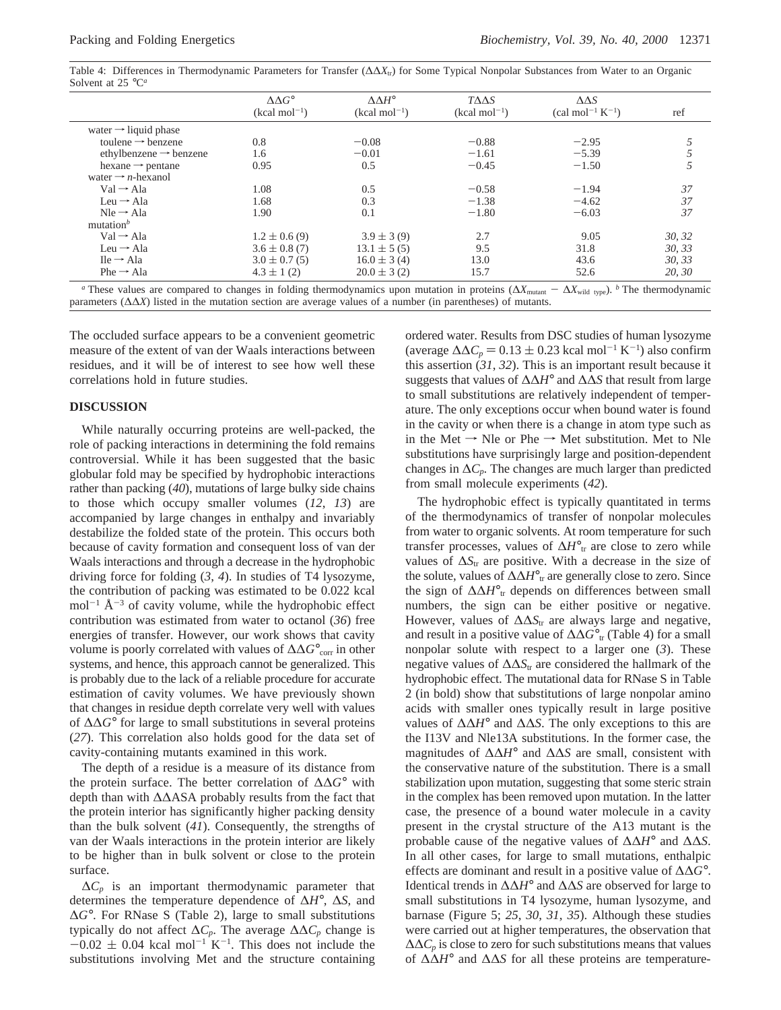Table 4: Differences in Thermodynamic Parameters for Transfer ( $ΔΔ<sub>tr</sub>$ ) for Some Typical Nonpolar Substances from Water to an Organic Solvent at 25 °C*<sup>a</sup>*

|                                       | $\Delta\Delta G^\circ$<br>$(kcal mol-1)$ | $\Delta \Delta H^{\circ}$<br>$(kcal mol-1)$ | $T\Delta\Delta S$<br>$(kcal mol-1)$ | $\Delta\Delta S$<br>$\text{(cal mol}^{-1} \text{ K}^{-1}\text{)}$ | ref    |
|---------------------------------------|------------------------------------------|---------------------------------------------|-------------------------------------|-------------------------------------------------------------------|--------|
| water $\rightarrow$ liquid phase      |                                          |                                             |                                     |                                                                   |        |
| toulene $\rightarrow$ benzene         | 0.8                                      | $-0.08$                                     | $-0.88$                             | $-2.95$                                                           |        |
| ethylbenzene $\rightarrow$ benzene    | 1.6                                      | $-0.01$                                     | $-1.61$                             | $-5.39$                                                           |        |
| hexane $\rightarrow$ pentane          | 0.95                                     | 0.5                                         | $-0.45$                             | $-1.50$                                                           |        |
| water $\rightarrow$ <i>n</i> -hexanol |                                          |                                             |                                     |                                                                   |        |
| $Val \rightarrow Ala$                 | 1.08                                     | 0.5                                         | $-0.58$                             | $-1.94$                                                           | 37     |
| Leu $\rightarrow$ Ala                 | 1.68                                     | 0.3                                         | $-1.38$                             | $-4.62$                                                           | 37     |
| $Nle \rightarrow A1a$                 | 1.90                                     | 0.1                                         | $-1.80$                             | $-6.03$                                                           | 37     |
| mutation $\mathbf{b}$                 |                                          |                                             |                                     |                                                                   |        |
| $Val \rightarrow Ala$                 | $1.2 \pm 0.6(9)$                         | $3.9 \pm 3(9)$                              | 2.7                                 | 9.05                                                              | 30, 32 |
| Leu $\rightarrow$ Ala                 | $3.6 \pm 0.8$ (7)                        | $13.1 \pm 5(5)$                             | 9.5                                 | 31.8                                                              | 30, 33 |
| $I$ le $\rightarrow$ Ala              | $3.0 \pm 0.7(5)$                         | $16.0 \pm 3(4)$                             | 13.0                                | 43.6                                                              | 30, 33 |
| $Phe \rightarrow Ala$                 | $4.3 \pm 1(2)$                           | $20.0 \pm 3(2)$                             | 15.7                                | 52.6                                                              | 20, 30 |

*a* These values are compared to changes in folding thermodynamics upon mutation in proteins ( $\Delta X_{\text{mutant}} - \Delta X_{\text{wild type}}$ ). *b* The thermodynamic parameters (∆∆*X*) listed in the mutation section are average values of a number (in parentheses) of mutants.

The occluded surface appears to be a convenient geometric measure of the extent of van der Waals interactions between residues, and it will be of interest to see how well these correlations hold in future studies.

### **DISCUSSION**

While naturally occurring proteins are well-packed, the role of packing interactions in determining the fold remains controversial. While it has been suggested that the basic globular fold may be specified by hydrophobic interactions rather than packing (*40*), mutations of large bulky side chains to those which occupy smaller volumes (*12*, *13*) are accompanied by large changes in enthalpy and invariably destabilize the folded state of the protein. This occurs both because of cavity formation and consequent loss of van der Waals interactions and through a decrease in the hydrophobic driving force for folding (*3*, *4*). In studies of T4 lysozyme, the contribution of packing was estimated to be 0.022 kcal mol<sup>-1</sup>  $\AA$ <sup>-3</sup> of cavity volume, while the hydrophobic effect contribution was estimated from water to octanol (*36*) free energies of transfer. However, our work shows that cavity volume is poorly correlated with values of  $\Delta\Delta G^{\circ}{}_{\text{corr}}$  in other systems, and hence, this approach cannot be generalized. This is probably due to the lack of a reliable procedure for accurate estimation of cavity volumes. We have previously shown that changes in residue depth correlate very well with values of ∆∆*G*° for large to small substitutions in several proteins (*27*). This correlation also holds good for the data set of cavity-containing mutants examined in this work.

The depth of a residue is a measure of its distance from the protein surface. The better correlation of ∆∆*G*° with depth than with ∆∆ASA probably results from the fact that the protein interior has significantly higher packing density than the bulk solvent (*41*). Consequently, the strengths of van der Waals interactions in the protein interior are likely to be higher than in bulk solvent or close to the protein surface.

 $\Delta C_p$  is an important thermodynamic parameter that determines the temperature dependence of ∆*H*°, ∆*S*, and ∆*G*°. For RNase S (Table 2), large to small substitutions typically do not affect  $\Delta C_p$ . The average  $\Delta \Delta C_p$  change is  $-0.02 \pm 0.04$  kcal mol<sup>-1</sup> K<sup>-1</sup>. This does not include the substitutions involving Met and the structure containing substitutions involving Met and the structure containing

ordered water. Results from DSC studies of human lysozyme (average  $\Delta \Delta C_p = 0.13 \pm 0.23$  kcal mol<sup>-1</sup> K<sup>-1</sup>) also confirm<br>this assertion (31–32). This is an important result because it this assertion (*31*, *32*). This is an important result because it suggests that values of ∆∆*H*° and ∆∆*S* that result from large to small substitutions are relatively independent of temperature. The only exceptions occur when bound water is found in the cavity or when there is a change in atom type such as in the Met  $\rightarrow$  Nle or Phe  $\rightarrow$  Met substitution. Met to Nle substitutions have surprisingly large and position-dependent changes in ∆*Cp*. The changes are much larger than predicted from small molecule experiments (*42*).

The hydrophobic effect is typically quantitated in terms of the thermodynamics of transfer of nonpolar molecules from water to organic solvents. At room temperature for such transfer processes, values of  $\Delta H^{\circ}_{\text{tr}}$  are close to zero while values of ∆*S*tr are positive. With a decrease in the size of the solute, values of  $ΔΔH<sup>o</sup><sub>tr</sub>$  are generally close to zero. Since the sign of  $ΔΔH<sup>o</sup><sub>tr</sub>$  depends on differences between small numbers, the sign can be either positive or negative. However, values of  $ΔΔS<sub>tr</sub>$  are always large and negative, and result in a positive value of  $\Delta \Delta G^{\circ}_{tr}$  (Table 4) for a small nonpolar solute with respect to a larger one (*3*). These negative values of  $ΔΔS<sub>tr</sub>$  are considered the hallmark of the hydrophobic effect. The mutational data for RNase S in Table 2 (in bold) show that substitutions of large nonpolar amino acids with smaller ones typically result in large positive values of ∆∆*H*° and ∆∆*S*. The only exceptions to this are the I13V and Nle13A substitutions. In the former case, the magnitudes of ∆∆*H*° and ∆∆*S* are small, consistent with the conservative nature of the substitution. There is a small stabilization upon mutation, suggesting that some steric strain in the complex has been removed upon mutation. In the latter case, the presence of a bound water molecule in a cavity present in the crystal structure of the A13 mutant is the probable cause of the negative values of ∆∆*H*° and ∆∆*S*. In all other cases, for large to small mutations, enthalpic effects are dominant and result in a positive value of ∆∆*G*°. Identical trends in ∆∆*H*° and ∆∆*S* are observed for large to small substitutions in T4 lysozyme, human lysozyme, and barnase (Figure 5; *25*, *30*, *31*, *35*). Although these studies were carried out at higher temperatures, the observation that  $\Delta \Delta C_p$  is close to zero for such substitutions means that values of ∆∆*H*° and ∆∆*S* for all these proteins are temperature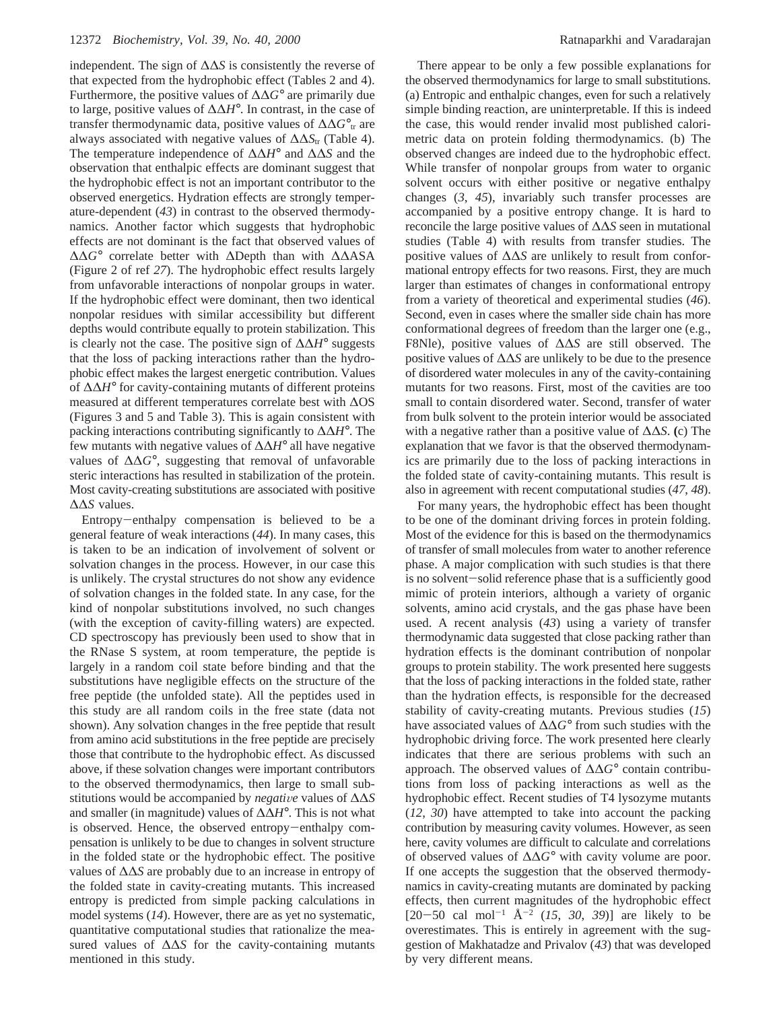independent. The sign of ∆∆*S* is consistently the reverse of that expected from the hydrophobic effect (Tables 2 and 4). Furthermore, the positive values of ∆∆*G*° are primarily due to large, positive values of ∆∆*H*°. In contrast, in the case of transfer thermodynamic data, positive values of  $\Delta \Delta G^{\circ}_{tr}$  are always associated with negative values of  $\Delta\Delta S_{tr}$  (Table 4). The temperature independence of ∆∆*H*° and ∆∆*S* and the observation that enthalpic effects are dominant suggest that the hydrophobic effect is not an important contributor to the observed energetics. Hydration effects are strongly temperature-dependent (*43*) in contrast to the observed thermodynamics. Another factor which suggests that hydrophobic effects are not dominant is the fact that observed values of ∆∆*G*° correlate better with ∆Depth than with ∆∆ASA (Figure 2 of ref *27*). The hydrophobic effect results largely from unfavorable interactions of nonpolar groups in water. If the hydrophobic effect were dominant, then two identical nonpolar residues with similar accessibility but different depths would contribute equally to protein stabilization. This is clearly not the case. The positive sign of ∆∆*H*° suggests that the loss of packing interactions rather than the hydrophobic effect makes the largest energetic contribution. Values of ∆∆*H*° for cavity-containing mutants of different proteins measured at different temperatures correlate best with ∆OS (Figures 3 and 5 and Table 3). This is again consistent with packing interactions contributing significantly to ∆∆*H*°. The few mutants with negative values of ∆∆*H*° all have negative values of ∆∆*G*°, suggesting that removal of unfavorable steric interactions has resulted in stabilization of the protein. Most cavity-creating substitutions are associated with positive ∆∆*S* values.

Entropy-enthalpy compensation is believed to be a general feature of weak interactions (*44*). In many cases, this is taken to be an indication of involvement of solvent or solvation changes in the process. However, in our case this is unlikely. The crystal structures do not show any evidence of solvation changes in the folded state. In any case, for the kind of nonpolar substitutions involved, no such changes (with the exception of cavity-filling waters) are expected. CD spectroscopy has previously been used to show that in the RNase S system, at room temperature, the peptide is largely in a random coil state before binding and that the substitutions have negligible effects on the structure of the free peptide (the unfolded state). All the peptides used in this study are all random coils in the free state (data not shown). Any solvation changes in the free peptide that result from amino acid substitutions in the free peptide are precisely those that contribute to the hydrophobic effect. As discussed above, if these solvation changes were important contributors to the observed thermodynamics, then large to small substitutions would be accompanied by *negative* values of ∆∆*S* and smaller (in magnitude) values of ∆∆*H*°. This is not what is observed. Hence, the observed entropy-enthalpy compensation is unlikely to be due to changes in solvent structure in the folded state or the hydrophobic effect. The positive values of ∆∆*S* are probably due to an increase in entropy of the folded state in cavity-creating mutants. This increased entropy is predicted from simple packing calculations in model systems (*14*). However, there are as yet no systematic, quantitative computational studies that rationalize the measured values of ∆∆*S* for the cavity-containing mutants mentioned in this study.

There appear to be only a few possible explanations for the observed thermodynamics for large to small substitutions. (a) Entropic and enthalpic changes, even for such a relatively simple binding reaction, are uninterpretable. If this is indeed the case, this would render invalid most published calorimetric data on protein folding thermodynamics. (b) The observed changes are indeed due to the hydrophobic effect. While transfer of nonpolar groups from water to organic solvent occurs with either positive or negative enthalpy changes (*3*, *45*), invariably such transfer processes are accompanied by a positive entropy change. It is hard to reconcile the large positive values of ∆∆*S* seen in mutational studies (Table 4) with results from transfer studies. The positive values of ∆∆*S* are unlikely to result from conformational entropy effects for two reasons. First, they are much larger than estimates of changes in conformational entropy from a variety of theoretical and experimental studies (*46*). Second, even in cases where the smaller side chain has more conformational degrees of freedom than the larger one (e.g., F8Nle), positive values of ∆∆*S* are still observed. The positive values of ∆∆*S* are unlikely to be due to the presence of disordered water molecules in any of the cavity-containing mutants for two reasons. First, most of the cavities are too small to contain disordered water. Second, transfer of water from bulk solvent to the protein interior would be associated with a negative rather than a positive value of ∆∆*S*. **(**c) The explanation that we favor is that the observed thermodynamics are primarily due to the loss of packing interactions in the folded state of cavity-containing mutants. This result is also in agreement with recent computational studies (*47*, *48*).

For many years, the hydrophobic effect has been thought to be one of the dominant driving forces in protein folding. Most of the evidence for this is based on the thermodynamics of transfer of small molecules from water to another reference phase. A major complication with such studies is that there is no solvent-solid reference phase that is a sufficiently good mimic of protein interiors, although a variety of organic solvents, amino acid crystals, and the gas phase have been used. A recent analysis (*43*) using a variety of transfer thermodynamic data suggested that close packing rather than hydration effects is the dominant contribution of nonpolar groups to protein stability. The work presented here suggests that the loss of packing interactions in the folded state, rather than the hydration effects, is responsible for the decreased stability of cavity-creating mutants. Previous studies (*15*) have associated values of ∆∆*G*° from such studies with the hydrophobic driving force. The work presented here clearly indicates that there are serious problems with such an approach. The observed values of ∆∆*G*° contain contributions from loss of packing interactions as well as the hydrophobic effect. Recent studies of T4 lysozyme mutants (*12*, *30*) have attempted to take into account the packing contribution by measuring cavity volumes. However, as seen here, cavity volumes are difficult to calculate and correlations of observed values of ∆∆*G*° with cavity volume are poor. If one accepts the suggestion that the observed thermodynamics in cavity-creating mutants are dominated by packing effects, then current magnitudes of the hydrophobic effect  $[20-50 \text{ cal mol}^{-1} \text{ Å}^{-2} (15, 30, 39)]$  are likely to be overestimates. This is entirely in agreement with the suggestion of Makhatadze and Privalov (*43*) that was developed by very different means.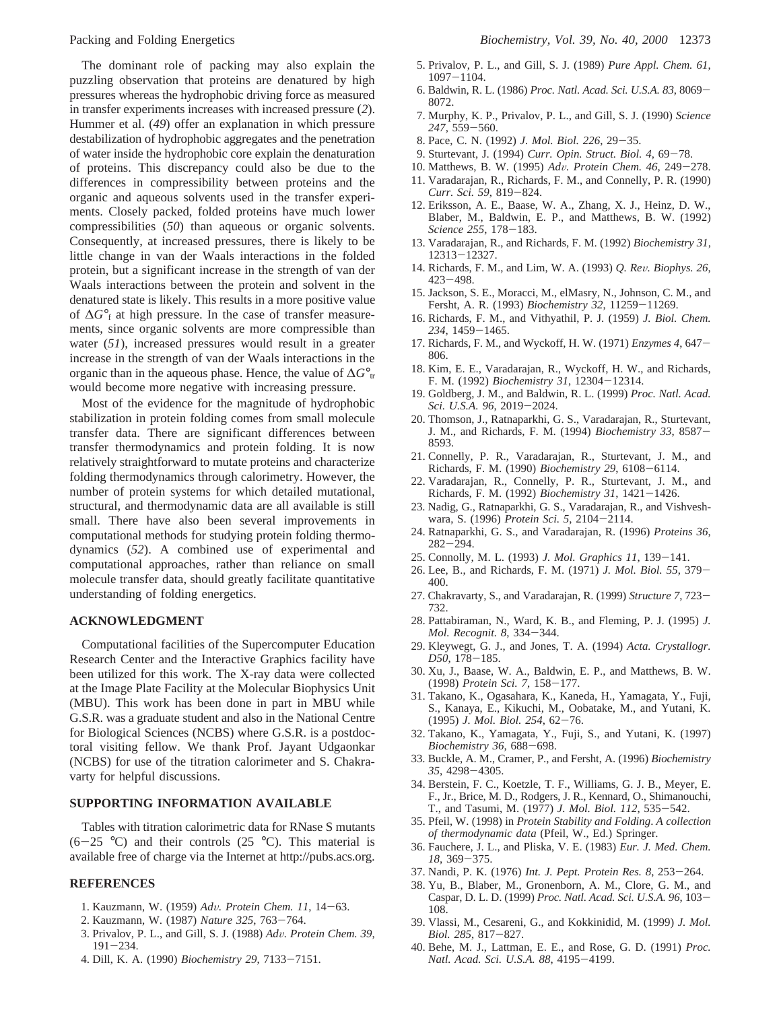The dominant role of packing may also explain the puzzling observation that proteins are denatured by high pressures whereas the hydrophobic driving force as measured in transfer experiments increases with increased pressure (*2*). Hummer et al. (*49*) offer an explanation in which pressure destabilization of hydrophobic aggregates and the penetration of water inside the hydrophobic core explain the denaturation of proteins. This discrepancy could also be due to the differences in compressibility between proteins and the organic and aqueous solvents used in the transfer experiments. Closely packed, folded proteins have much lower compressibilities (*50*) than aqueous or organic solvents. Consequently, at increased pressures, there is likely to be little change in van der Waals interactions in the folded protein, but a significant increase in the strength of van der Waals interactions between the protein and solvent in the denatured state is likely. This results in a more positive value of ∆*G*°<sup>f</sup> at high pressure. In the case of transfer measurements, since organic solvents are more compressible than water (*51*), increased pressures would result in a greater increase in the strength of van der Waals interactions in the organic than in the aqueous phase. Hence, the value of ∆*G*°tr would become more negative with increasing pressure.

Most of the evidence for the magnitude of hydrophobic stabilization in protein folding comes from small molecule transfer data. There are significant differences between transfer thermodynamics and protein folding. It is now relatively straightforward to mutate proteins and characterize folding thermodynamics through calorimetry. However, the number of protein systems for which detailed mutational, structural, and thermodynamic data are all available is still small. There have also been several improvements in computational methods for studying protein folding thermodynamics (*52*). A combined use of experimental and computational approaches, rather than reliance on small molecule transfer data, should greatly facilitate quantitative understanding of folding energetics.

#### **ACKNOWLEDGMENT**

Computational facilities of the Supercomputer Education Research Center and the Interactive Graphics facility have been utilized for this work. The X-ray data were collected at the Image Plate Facility at the Molecular Biophysics Unit (MBU). This work has been done in part in MBU while G.S.R. was a graduate student and also in the National Centre for Biological Sciences (NCBS) where G.S.R. is a postdoctoral visiting fellow. We thank Prof. Jayant Udgaonkar (NCBS) for use of the titration calorimeter and S. Chakravarty for helpful discussions.

### **SUPPORTING INFORMATION AVAILABLE**

Tables with titration calorimetric data for RNase S mutants  $(6-25 \text{ °C})$  and their controls  $(25 \text{ °C})$ . This material is available free of charge via the Internet at http://pubs.acs.org.

## **REFERENCES**

- 1. Kauzmann, W. (1959) *Ad*V*. Protein Chem. 11*, 14-63.
- 2. Kauzmann, W. (1987) *Nature 325*, 763-764.
- 3. Privalov, P. L., and Gill, S. J. (1988) *Ad*V*. Protein Chem. 39*, <sup>191</sup>-234.
- 4. Dill, K. A. (1990) *Biochemistry 29*, 7133-7151.
- 5. Privalov, P. L., and Gill, S. J. (1989) *Pure Appl. Chem. 61*, <sup>1097</sup>-1104.
- 6. Baldwin, R. L. (1986) *Proc. Natl. Acad. Sci. U.S.A. 83*, 8069- 8072.
- 7. Murphy, K. P., Privalov, P. L., and Gill, S. J. (1990) *Science <sup>247</sup>*, 559-560.
- 8. Pace, C. N. (1992) *J. Mol. Biol. 226*, 29-35.
- 9. Sturtevant, J. (1994) *Curr. Opin. Struct. Biol. 4*, 69-78.
- 10. Matthews, B. W. (1995) *Ad*V*. Protein Chem. 46*, 249-278.
- 11. Varadarajan, R., Richards, F. M., and Connelly, P. R. (1990) *Curr. Sci. 59*, 819-824.
- 12. Eriksson, A. E., Baase, W. A., Zhang, X. J., Heinz, D. W., Blaber, M., Baldwin, E. P., and Matthews, B. W. (1992) *Science 255*, 178-183.
- 13. Varadarajan, R., and Richards, F. M. (1992) *Biochemistry 31*, <sup>12313</sup>-12327.
- 14. Richards, F. M., and Lim, W. A. (1993) *Q. Re*V*. Biophys. 26*, <sup>423</sup>-498. 15. Jackson, S. E., Moracci, M., elMasry, N., Johnson, C. M., and
- Fersht, A. R. (1993) *Biochemistry 32*, 11259-11269.
- 16. Richards, F. M., and Vithyathil, P. J. (1959) *J. Biol. Chem. <sup>234</sup>*, 1459-1465.
- 17. Richards, F. M., and Wyckoff, H. W. (1971) *Enzymes 4*, 647- 806.
- 18. Kim, E. E., Varadarajan, R., Wyckoff, H. W., and Richards, F. M. (1992) *Biochemistry 31*, 12304-12314.
- 19. Goldberg, J. M., and Baldwin, R. L. (1999) *Proc. Natl. Acad. Sci. U.S.A. 96*, 2019-2024.
- 20. Thomson, J., Ratnaparkhi, G. S., Varadarajan, R., Sturtevant, J. M., and Richards, F. M. (1994) *Biochemistry 33*, 8587- 8593.
- 21. Connelly, P. R., Varadarajan, R., Sturtevant, J. M., and Richards, F. M. (1990) *Biochemistry 29*, 6108-6114.
- 22. Varadarajan, R., Connelly, P. R., Sturtevant, J. M., and Richards, F. M. (1992) *Biochemistry 31*, 1421-1426.
- 23. Nadig, G., Ratnaparkhi, G. S., Varadarajan, R., and Vishveshwara, S. (1996) *Protein Sci. 5*, 2104-2114.
- 24. Ratnaparkhi, G. S., and Varadarajan, R. (1996) *Proteins 36*, <sup>282</sup>-294.
- 25. Connolly, M. L. (1993) *J. Mol. Graphics 11*, 139-141.
- 26. Lee, B., and Richards, F. M. (1971) *J. Mol. Biol. 55*, 379- 400.
- 27. Chakravarty, S., and Varadarajan, R. (1999) *Structure 7*, 723- 732.
- 28. Pattabiraman, N., Ward, K. B., and Fleming, P. J. (1995) *J. Mol. Recognit. 8*, 334-344.
- 29. Kleywegt, G. J., and Jones, T. A. (1994) *Acta. Crystallogr. D50*, 178-185.
- 30. Xu, J., Baase, W. A., Baldwin, E. P., and Matthews, B. W. (1998) *Protein Sci. 7*, 158-177.
- 31. Takano, K., Ogasahara, K., Kaneda, H., Yamagata, Y., Fuji, S., Kanaya, E., Kikuchi, M., Oobatake, M., and Yutani, K. (1995) *J. Mol. Biol. 254*, 62-76.
- 32. Takano, K., Yamagata, Y., Fuji, S., and Yutani, K. (1997) *Biochemistry 36*, 688-698.
- 33. Buckle, A. M., Cramer, P., and Fersht, A. (1996) *Biochemistry <sup>35</sup>*, 4298-4305.
- 34. Berstein, F. C., Koetzle, T. F., Williams, G. J. B., Meyer, E. F., Jr., Brice, M. D., Rodgers, J. R., Kennard, O., Shimanouchi, T., and Tasumi, M. (1977) *J. Mol. Biol. 112*, 535-542.
- 35. Pfeil, W. (1998) in *Protein Stability and Folding*. *A collection of thermodynamic data* (Pfeil, W., Ed.) Springer.
- 36. Fauchere, J. L., and Pliska, V. E. (1983) *Eur. J. Med. Chem. <sup>18</sup>*, 369-375.
- 37. Nandi, P. K. (1976) *Int. J. Pept. Protein Res. 8*, 253-264.
- 38. Yu, B., Blaber, M., Gronenborn, A. M., Clore, G. M., and Caspar, D. L. D. (1999) *Proc. Natl. Acad. Sci. U.S.A. 96*, 103- 108.
- 39. Vlassi, M., Cesareni, G., and Kokkinidid, M. (1999) *J. Mol. Biol. 285*, 817-827.
- 40. Behe, M. J., Lattman, E. E., and Rose, G. D. (1991) *Proc. Natl. Acad. Sci. U.S.A. 88*, 4195-4199.